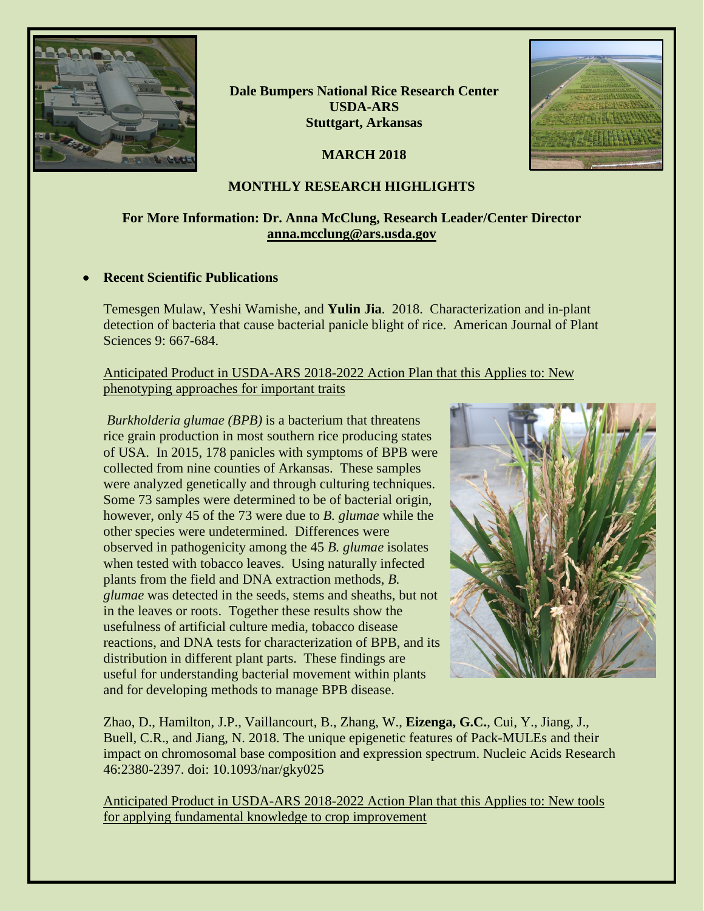

**Dale Bumpers National Rice Research Center USDA-ARS Stuttgart, Arkansas**

**MARCH 2018**



# **MONTHLY RESEARCH HIGHLIGHTS**

# **For More Information: Dr. Anna McClung, Research Leader/Center Director [anna.mcclung@ars.usda.gov](mailto:anna.mcclung@ars.usda.gov)**

### • **Recent Scientific Publications**

Temesgen Mulaw, Yeshi Wamishe, and **Yulin Jia**. 2018. Characterization and in-plant detection of bacteria that cause bacterial panicle blight of rice. American Journal of Plant Sciences 9: 667-684.

Anticipated Product in USDA-ARS 2018-2022 Action Plan that this Applies to: New phenotyping approaches for important traits

*Burkholderia glumae (BPB)* is a bacterium that threatens rice grain production in most southern rice producing states of USA. In 2015, 178 panicles with symptoms of BPB were collected from nine counties of Arkansas. These samples were analyzed genetically and through culturing techniques. Some 73 samples were determined to be of bacterial origin, however, only 45 of the 73 were due to *B. glumae* while the other species were undetermined. Differences were observed in pathogenicity among the 45 *B. glumae* isolates when tested with tobacco leaves. Using naturally infected plants from the field and DNA extraction methods, *B. glumae* was detected in the seeds, stems and sheaths, but not in the leaves or roots. Together these results show the usefulness of artificial culture media, tobacco disease reactions, and DNA tests for characterization of BPB, and its distribution in different plant parts. These findings are useful for understanding bacterial movement within plants and for developing methods to manage BPB disease.



Zhao, D., Hamilton, J.P., Vaillancourt, B., Zhang, W., **Eizenga, G.C.**, Cui, Y., Jiang, J., Buell, C.R., and Jiang, N. 2018. The unique epigenetic features of Pack-MULEs and their impact on chromosomal base composition and expression spectrum. Nucleic Acids Research 46:2380-2397. doi: 10.1093/nar/gky025

Anticipated Product in USDA-ARS 2018-2022 Action Plan that this Applies to: New tools for applying fundamental knowledge to crop improvement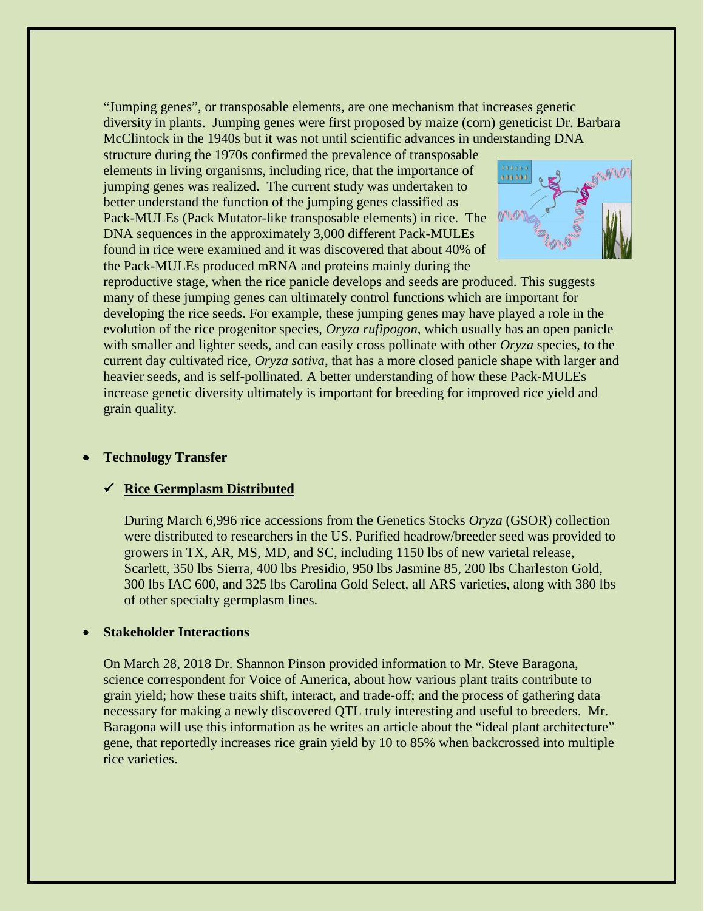"Jumping genes", or transposable elements, are one mechanism that increases genetic diversity in plants. Jumping genes were first proposed by maize (corn) geneticist Dr. Barbara McClintock in the 1940s but it was not until scientific advances in understanding DNA

structure during the 1970s confirmed the prevalence of transposable elements in living organisms, including rice, that the importance of jumping genes was realized. The current study was undertaken to better understand the function of the jumping genes classified as Pack-MULEs (Pack Mutator-like transposable elements) in rice. The DNA sequences in the approximately 3,000 different Pack-MULEs found in rice were examined and it was discovered that about 40% of the Pack-MULEs produced mRNA and proteins mainly during the



reproductive stage, when the rice panicle develops and seeds are produced. This suggests many of these jumping genes can ultimately control functions which are important for developing the rice seeds. For example, these jumping genes may have played a role in the evolution of the rice progenitor species, *Oryza rufipogon,* which usually has an open panicle with smaller and lighter seeds, and can easily cross pollinate with other *Oryza* species, to the current day cultivated rice, *Oryza sativa*, that has a more closed panicle shape with larger and heavier seeds, and is self-pollinated. A better understanding of how these Pack-MULEs increase genetic diversity ultimately is important for breeding for improved rice yield and grain quality.

#### • **Technology Transfer**

### **Rice Germplasm Distributed**

During March 6,996 rice accessions from the Genetics Stocks *Oryza* (GSOR) collection were distributed to researchers in the US. Purified headrow/breeder seed was provided to growers in TX, AR, MS, MD, and SC, including 1150 lbs of new varietal release, Scarlett, 350 lbs Sierra, 400 lbs Presidio, 950 lbs Jasmine 85, 200 lbs Charleston Gold, 300 lbs IAC 600, and 325 lbs Carolina Gold Select, all ARS varieties, along with 380 lbs of other specialty germplasm lines.

### • **Stakeholder Interactions**

On March 28, 2018 Dr. Shannon Pinson provided information to Mr. Steve Baragona, science correspondent for Voice of America, about how various plant traits contribute to grain yield; how these traits shift, interact, and trade-off; and the process of gathering data necessary for making a newly discovered QTL truly interesting and useful to breeders. Mr. Baragona will use this information as he writes an article about the "ideal plant architecture" gene, that reportedly increases rice grain yield by 10 to 85% when backcrossed into multiple rice varieties.